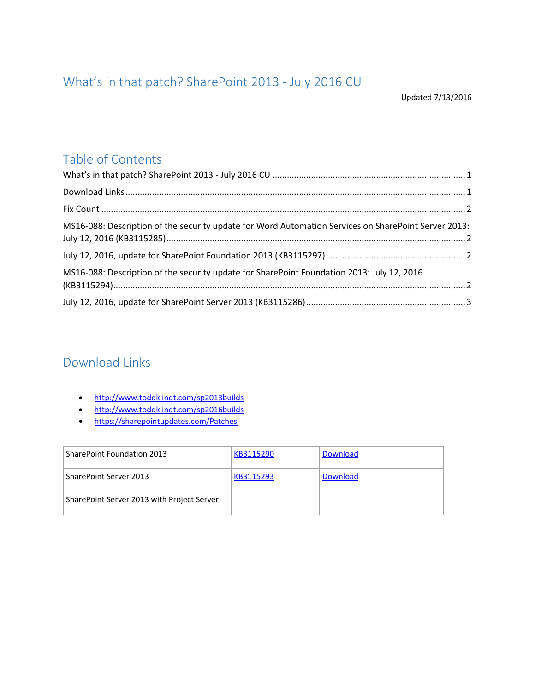# <span id="page-0-0"></span>What's in that patch? SharePoint 2013 - July 2016 CU

## Table of Contents

| MS16-088: Description of the security update for Word Automation Services on SharePoint Server 2013: |  |
|------------------------------------------------------------------------------------------------------|--|
|                                                                                                      |  |
| MS16-088: Description of the security update for SharePoint Foundation 2013: July 12, 2016           |  |
|                                                                                                      |  |

### <span id="page-0-1"></span>Download Links

- <http://www.toddklindt.com/sp2013builds>
- <http://www.toddklindt.com/sp2016builds>
- <https://sharepointupdates.com/Patches>

| <b>SharePoint Foundation 2013</b>          | KB3115290 | Download |
|--------------------------------------------|-----------|----------|
| SharePoint Server 2013                     | KB3115293 | Download |
| SharePoint Server 2013 with Project Server |           |          |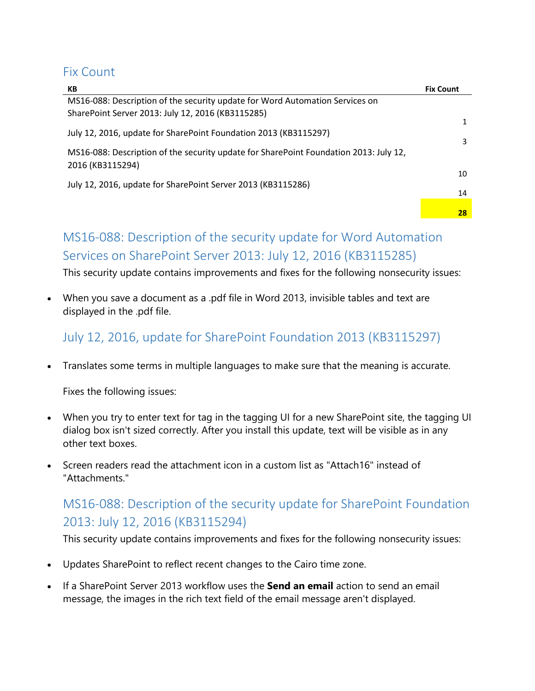#### <span id="page-1-0"></span>Fix Count

| КB                                                                                    | <b>Fix Count</b> |
|---------------------------------------------------------------------------------------|------------------|
| MS16-088: Description of the security update for Word Automation Services on          |                  |
| SharePoint Server 2013: July 12, 2016 (KB3115285)                                     |                  |
|                                                                                       |                  |
| July 12, 2016, update for SharePoint Foundation 2013 (KB3115297)                      | 3                |
| MS16-088: Description of the security update for SharePoint Foundation 2013: July 12, |                  |
| 2016 (KB3115294)                                                                      | 10               |
| July 12, 2016, update for SharePoint Server 2013 (KB3115286)                          |                  |
|                                                                                       | 14               |
|                                                                                       |                  |
|                                                                                       | 28               |

## <span id="page-1-1"></span>MS16-088: Description of the security update for Word Automation Services on SharePoint Server 2013: July 12, 2016 (KB3115285)

This security update contains improvements and fixes for the following nonsecurity issues:

 When you save a document as a .pdf file in Word 2013, invisible tables and text are displayed in the .pdf file.

<span id="page-1-2"></span>July 12, 2016, update for SharePoint Foundation 2013 (KB3115297)

Translates some terms in multiple languages to make sure that the meaning is accurate.

Fixes the following issues:

- When you try to enter text for tag in the tagging UI for a new SharePoint site, the tagging UI dialog box isn't sized correctly. After you install this update, text will be visible as in any other text boxes.
- Screen readers read the attachment icon in a custom list as "Attach16" instead of "Attachments."

# <span id="page-1-3"></span>MS16-088: Description of the security update for SharePoint Foundation 2013: July 12, 2016 (KB3115294)

This security update contains improvements and fixes for the following nonsecurity issues:

- Updates SharePoint to reflect recent changes to the Cairo time zone.
- If a SharePoint Server 2013 workflow uses the **Send an email** action to send an email message, the images in the rich text field of the email message aren't displayed.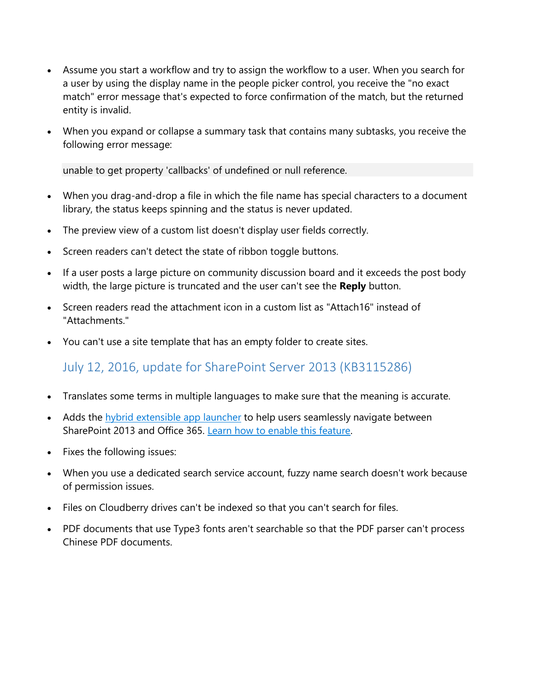- Assume you start a workflow and try to assign the workflow to a user. When you search for a user by using the display name in the people picker control, you receive the "no exact match" error message that's expected to force confirmation of the match, but the returned entity is invalid.
- When you expand or collapse a summary task that contains many subtasks, you receive the following error message:

unable to get property 'callbacks' of undefined or null reference.

- When you drag-and-drop a file in which the file name has special characters to a document library, the status keeps spinning and the status is never updated.
- The preview view of a custom list doesn't display user fields correctly.
- Screen readers can't detect the state of ribbon toggle buttons.
- If a user posts a large picture on community discussion board and it exceeds the post body width, the large picture is truncated and the user can't see the **Reply** button.
- Screen readers read the attachment icon in a custom list as "Attach16" instead of "Attachments."
- You can't use a site template that has an empty folder to create sites.

### <span id="page-2-0"></span>July 12, 2016, update for SharePoint Server 2013 (KB3115286)

- Translates some terms in multiple languages to make sure that the meaning is accurate.
- Adds the [hybrid extensible app launcher](https://support.office.com/en-us/article/The-extensible-hybrid-app-launcher-617a7cb5-53da-4128-961a-64a840c0ab91) to help users seamlessly navigate between SharePoint 2013 and Office 365. [Learn how to enable this feature.](http://go.microsoft.com/fwlink/?LinkId=820763)
- Fixes the following issues:
- When you use a dedicated search service account, fuzzy name search doesn't work because of permission issues.
- Files on Cloudberry drives can't be indexed so that you can't search for files.
- PDF documents that use Type3 fonts aren't searchable so that the PDF parser can't process Chinese PDF documents.